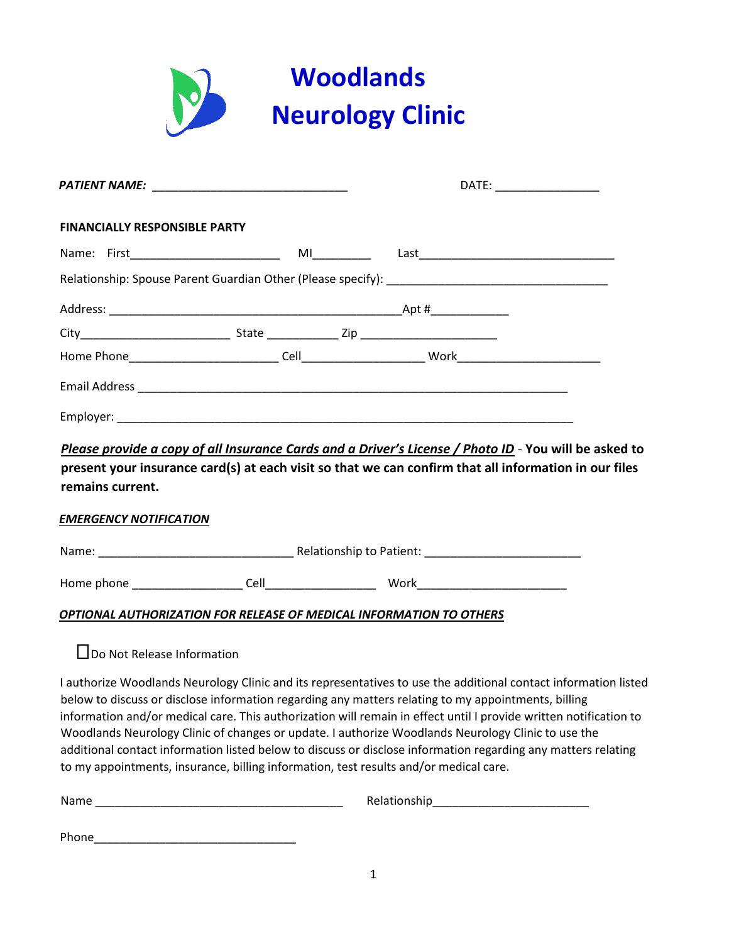|                                      |                                                 | <b>Woodlands</b><br><b>Neurology Clinic</b>                                                                                                                                                                    |                         |
|--------------------------------------|-------------------------------------------------|----------------------------------------------------------------------------------------------------------------------------------------------------------------------------------------------------------------|-------------------------|
|                                      | PATIENT NAME: _________________________________ |                                                                                                                                                                                                                | DATE: _________________ |
| <b>FINANCIALLY RESPONSIBLE PARTY</b> |                                                 |                                                                                                                                                                                                                |                         |
|                                      |                                                 |                                                                                                                                                                                                                |                         |
|                                      |                                                 |                                                                                                                                                                                                                |                         |
|                                      |                                                 |                                                                                                                                                                                                                |                         |
|                                      |                                                 |                                                                                                                                                                                                                |                         |
|                                      |                                                 |                                                                                                                                                                                                                |                         |
|                                      |                                                 |                                                                                                                                                                                                                |                         |
|                                      |                                                 |                                                                                                                                                                                                                |                         |
| remains current.                     |                                                 | Please provide a copy of all Insurance Cards and a Driver's License / Photo ID - You will be asked to<br>present your insurance card(s) at each visit so that we can confirm that all information in our files |                         |
| <b>EMERGENCY NOTIFICATION</b>        |                                                 |                                                                                                                                                                                                                |                         |
|                                      |                                                 |                                                                                                                                                                                                                |                         |
|                                      |                                                 |                                                                                                                                                                                                                |                         |
|                                      |                                                 | <b>OPTIONAL AUTHORIZATION FOR RELEASE OF MEDICAL INFORMATION TO OTHERS</b>                                                                                                                                     |                         |

Do Not Release Information

I authorize Woodlands Neurology Clinic and its representatives to use the additional contact information listed below to discuss or disclose information regarding any matters relating to my appointments, billing information and/or medical care. This authorization will remain in effect until I provide written notification to Woodlands Neurology Clinic of changes or update. I authorize Woodlands Neurology Clinic to use the additional contact information listed below to discuss or disclose information regarding any matters relating to my appointments, insurance, billing information, test results and/or medical care.

| Name | .<br>$-1411111$<br>भा⊾ |
|------|------------------------|
|      |                        |

Phone  $\blacksquare$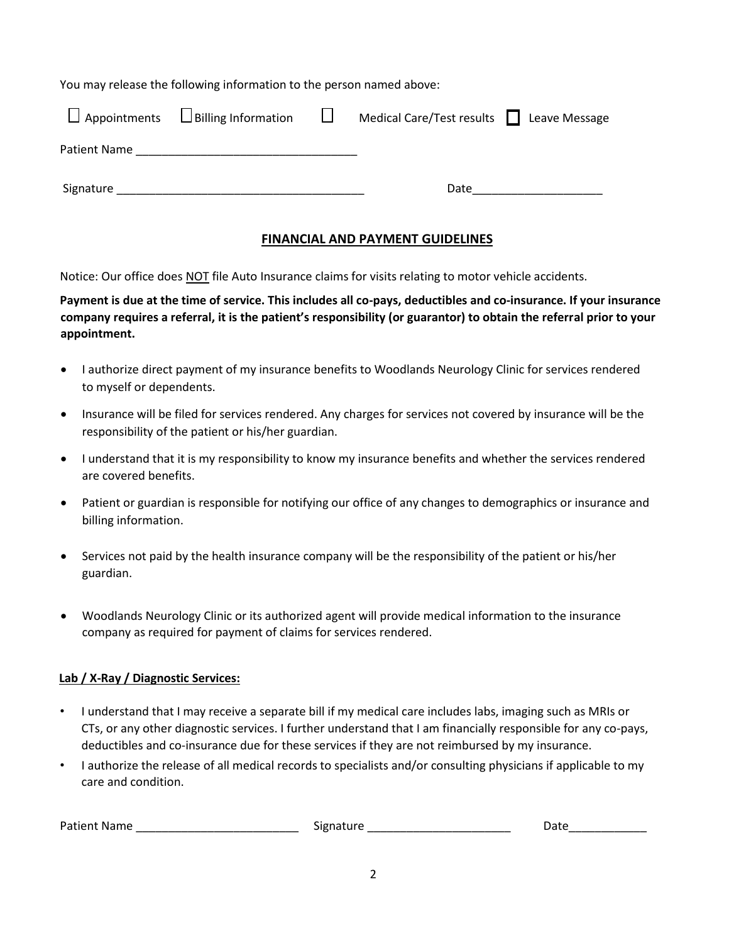You may release the following information to the person named above:

|              | $\Box$ Appointments $\Box$ Billing Information | — ⊔ — | Medical Care/Test results Leave Message |  |
|--------------|------------------------------------------------|-------|-----------------------------------------|--|
| Patient Name |                                                |       |                                         |  |
| Signature    |                                                |       | Date                                    |  |

### **FINANCIAL AND PAYMENT GUIDELINES**

Notice: Our office does NOT file Auto Insurance claims for visits relating to motor vehicle accidents.

**Payment is due at the time of service. This includes all co-pays, deductibles and co-insurance. If your insurance company requires a referral, it is the patient's responsibility (or guarantor) to obtain the referral prior to your appointment.** 

- I authorize direct payment of my insurance benefits to Woodlands Neurology Clinic for services rendered to myself or dependents.
- Insurance will be filed for services rendered. Any charges for services not covered by insurance will be the responsibility of the patient or his/her guardian.
- I understand that it is my responsibility to know my insurance benefits and whether the services rendered are covered benefits.
- Patient or guardian is responsible for notifying our office of any changes to demographics or insurance and billing information.
- Services not paid by the health insurance company will be the responsibility of the patient or his/her guardian.
- Woodlands Neurology Clinic or its authorized agent will provide medical information to the insurance company as required for payment of claims for services rendered.

### **Lab / X-Ray / Diagnostic Services:**

- I understand that I may receive a separate bill if my medical care includes labs, imaging such as MRIs or CTs, or any other diagnostic services. I further understand that I am financially responsible for any co-pays, deductibles and co-insurance due for these services if they are not reimbursed by my insurance.
- I authorize the release of all medical records to specialists and/or consulting physicians if applicable to my care and condition.

| <b>Patient Name</b> | <b>NPUTHUL</b> |  |
|---------------------|----------------|--|
|---------------------|----------------|--|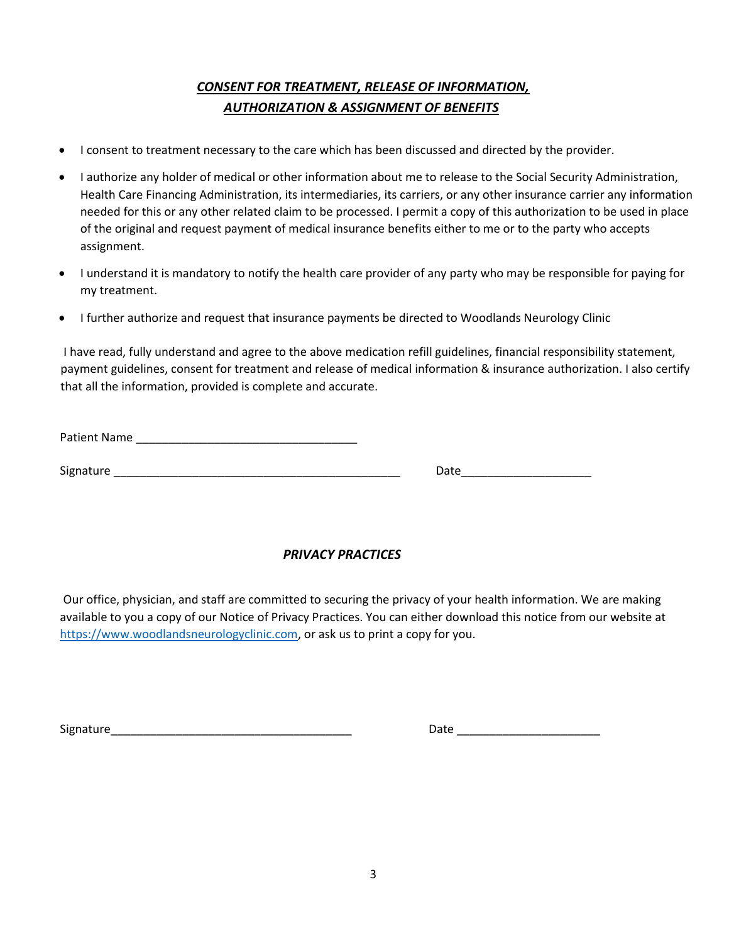## *CONSENT FOR TREATMENT, RELEASE OF INFORMATION, AUTHORIZATION & ASSIGNMENT OF BENEFITS*

- I consent to treatment necessary to the care which has been discussed and directed by the provider.
- I authorize any holder of medical or other information about me to release to the Social Security Administration, Health Care Financing Administration, its intermediaries, its carriers, or any other insurance carrier any information needed for this or any other related claim to be processed. I permit a copy of this authorization to be used in place of the original and request payment of medical insurance benefits either to me or to the party who accepts assignment.
- I understand it is mandatory to notify the health care provider of any party who may be responsible for paying for my treatment.
- I further authorize and request that insurance payments be directed to Woodlands Neurology Clinic

I have read, fully understand and agree to the above medication refill guidelines, financial responsibility statement, payment guidelines, consent for treatment and release of medical information & insurance authorization. I also certify that all the information, provided is complete and accurate.

Signature \_\_\_\_\_\_\_\_\_\_\_\_\_\_\_\_\_\_\_\_\_\_\_\_\_\_\_\_\_\_\_\_\_\_\_\_\_\_\_\_\_\_\_\_ Date\_\_\_\_\_\_\_\_\_\_\_\_\_\_\_\_\_\_\_\_

### *PRIVACY PRACTICES*

Our office, physician, and staff are committed to securing the privacy of your health information. We are making available to you a copy of our Notice of Privacy Practices. You can either download this notice from our website at [https://www.woodlandsneurologyclinic.com,](https://www.woodlandsneurologyclinic.com/) or ask us to print a copy for you.

Signature\_\_\_\_\_\_\_\_\_\_\_\_\_\_\_\_\_\_\_\_\_\_\_\_\_\_\_\_\_\_\_\_\_\_\_\_\_ Date \_\_\_\_\_\_\_\_\_\_\_\_\_\_\_\_\_\_\_\_\_\_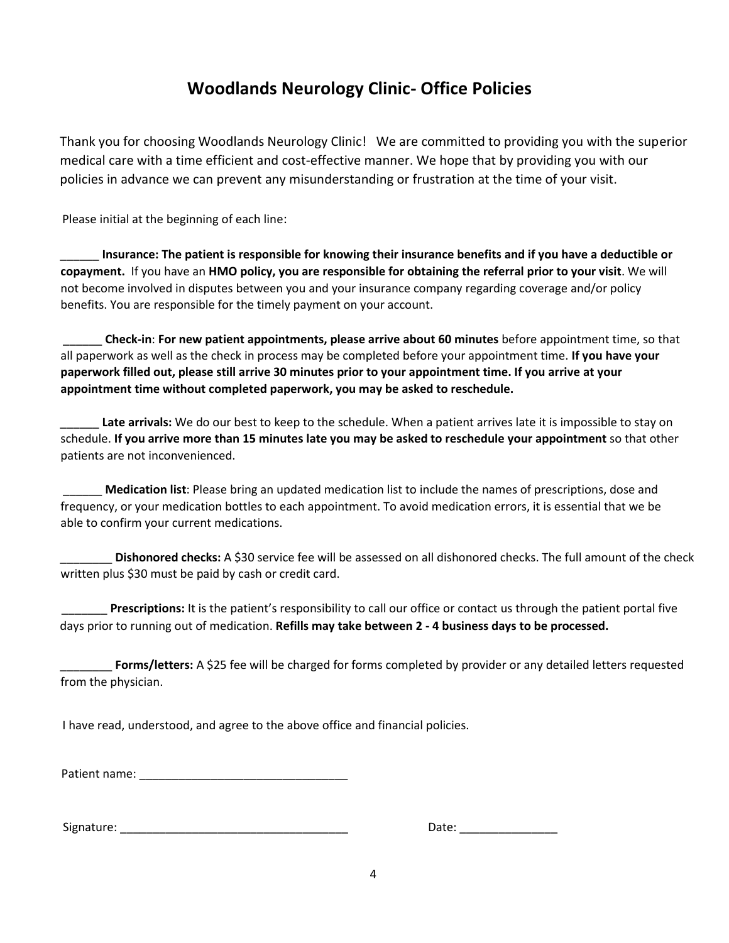# **Woodlands Neurology Clinic- Office Policies**

Thank you for choosing Woodlands Neurology Clinic! We are committed to providing you with the superior medical care with a time efficient and cost-effective manner. We hope that by providing you with our policies in advance we can prevent any misunderstanding or frustration at the time of your visit.

Please initial at the beginning of each line:

\_\_\_\_\_\_ **Insurance: The patient is responsible for knowing their insurance benefits and if you have a deductible or copayment.** If you have an **HMO policy, you are responsible for obtaining the referral prior to your visit**. We will not become involved in disputes between you and your insurance company regarding coverage and/or policy benefits. You are responsible for the timely payment on your account.

\_\_\_\_\_\_ **Check-in**: **For new patient appointments, please arrive about 60 minutes** before appointment time, so that all paperwork as well as the check in process may be completed before your appointment time. **If you have your paperwork filled out, please still arrive 30 minutes prior to your appointment time. If you arrive at your appointment time without completed paperwork, you may be asked to reschedule.**

Late arrivals: We do our best to keep to the schedule. When a patient arrives late it is impossible to stay on schedule. **If you arrive more than 15 minutes late you may be asked to reschedule your appointment** so that other patients are not inconvenienced.

\_\_\_\_\_\_ **Medication list**: Please bring an updated medication list to include the names of prescriptions, dose and frequency, or your medication bottles to each appointment. To avoid medication errors, it is essential that we be able to confirm your current medications.

\_\_\_\_\_\_\_\_ **Dishonored checks:** A \$30 service fee will be assessed on all dishonored checks. The full amount of the check written plus \$30 must be paid by cash or credit card.

Prescriptions: It is the patient's responsibility to call our office or contact us through the patient portal five days prior to running out of medication. **Refills may take between 2 - 4 business days to be processed.** 

Forms/letters: A \$25 fee will be charged for forms completed by provider or any detailed letters requested from the physician.

I have read, understood, and agree to the above office and financial policies.

| Patient name: |  |
|---------------|--|
|---------------|--|

Signature: \_\_\_\_\_

| Date: |  |
|-------|--|
|       |  |